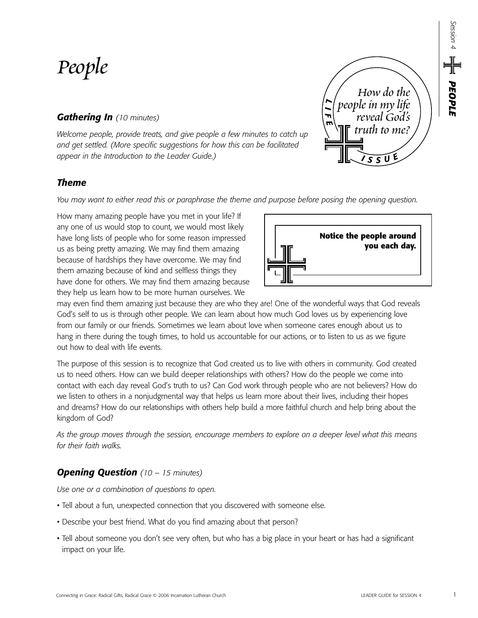# *People*

# *Gathering In (10 minutes)*

*Welcome people, provide treats, and give people a few minutes to catch up and get settled. (More specific suggestions for how this can be facilitated appear in the Introduction to the Leader Guide.)*

## *Theme*

*You may want to either read this or paraphrase the theme and purpose before posing the opening question.*

How many amazing people have you met in your life? If any one of us would stop to count, we would most likely have long lists of people who for some reason impressed us as being pretty amazing. We may find them amazing because of hardships they have overcome. We may find them amazing because of kind and selfless things they have done for others. We may find them amazing because they help us learn how to be more human ourselves. We

may even find them amazing just because they are who they are! One of the wonderful ways that God reveals God's self to us is through other people. We can learn about how much God loves us by experiencing love from our family or our friends. Sometimes we learn about love when someone cares enough about us to hang in there during the tough times, to hold us accountable for our actions, or to listen to us as we figure out how to deal with life events.

The purpose of this session is to recognize that God created us to live with others in community. God created us to need others. How can we build deeper relationships with others? How do the people we come into contact with each day reveal God's truth to us? Can God work through people who are not believers? How do we listen to others in a nonjudgmental way that helps us learn more about their lives, including their hopes and dreams? How do our relationships with others help build a more faithful church and help bring about the kingdom of God?

*As the group moves through the session, encourage members to explore on a deeper level what this means for their faith walks.*

## *Opening Question (10 – 15 minutes)*

*Use one or a combination of questions to open.*

- Tell about a fun, unexpected connection that you discovered with someone else.
- Describe your best friend. What do you find amazing about that person?
- Tell about someone you don't see very often, but who has a big place in your heart or has had a significant impact on your life.





*Session 4*

*PEOPLE*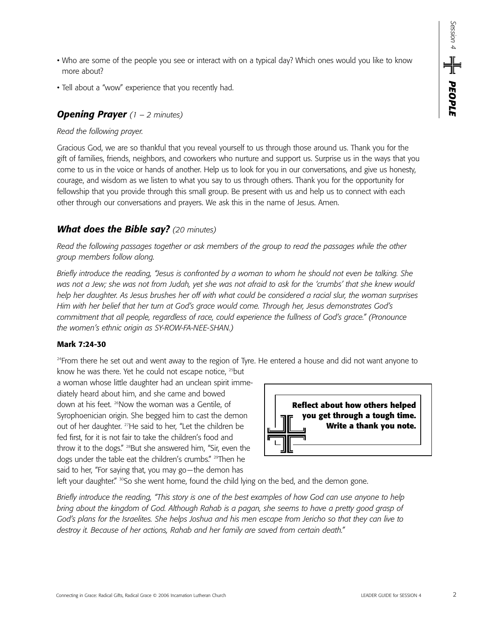- Who are some of the people you see or interact with on a typical day? Which ones would you like to know more about?
- Tell about a "wow" experience that you recently had.

## *Opening Prayer (1 – 2 minutes)*

#### *Read the following prayer.*

Gracious God, we are so thankful that you reveal yourself to us through those around us. Thank you for the gift of families, friends, neighbors, and coworkers who nurture and support us. Surprise us in the ways that you come to us in the voice or hands of another. Help us to look for you in our conversations, and give us honesty, courage, and wisdom as we listen to what you say to us through others. Thank you for the opportunity for fellowship that you provide through this small group. Be present with us and help us to connect with each other through our conversations and prayers. We ask this in the name of Jesus. Amen.

## *What does the Bible say? (20 minutes)*

*Read the following passages together or ask members of the group to read the passages while the other group members follow along.* 

*Briefly introduce the reading, "Jesus is confronted by a woman to whom he should not even be talking. She was not a Jew; she was not from Judah, yet she was not afraid to ask for the 'crumbs' that she knew would help her daughter. As Jesus brushes her off with what could be considered a racial slur, the woman surprises Him with her belief that her turn at God's grace would come. Through her, Jesus demonstrates God's commitment that all people, regardless of race, could experience the fullness of God's grace." (Pronounce the women's ethnic origin as SY-ROW-FA-NEE-SHAN.)*

#### **Mark 7:24-30**

<sup>24</sup>From there he set out and went away to the region of Tyre. He entered a house and did not want anyone to

know he was there. Yet he could not escape notice, <sup>25</sup>but a woman whose little daughter had an unclean spirit immediately heard about him, and she came and bowed down at his feet. <sup>26</sup>Now the woman was a Gentile, of Syrophoenician origin. She begged him to cast the demon out of her daughter. <sup>27</sup>He said to her, "Let the children be fed first, for it is not fair to take the children's food and throw it to the dogs." <sup>28</sup>But she answered him, "Sir, even the dogs under the table eat the children's crumbs." <sup>29</sup>Then he said to her, "For saying that, you may go—the demon has

left your daughter."  $\frac{30}{50}$  she went home, found the child lying on the bed, and the demon gone.

*Briefly introduce the reading, "This story is one of the best examples of how God can use anyone to help bring about the kingdom of God. Although Rahab is a pagan, she seems to have a pretty good grasp of God's plans for the Israelites. She helps Joshua and his men escape from Jericho so that they can live to destroy it. Because of her actions, Rahab and her family are saved from certain death."*

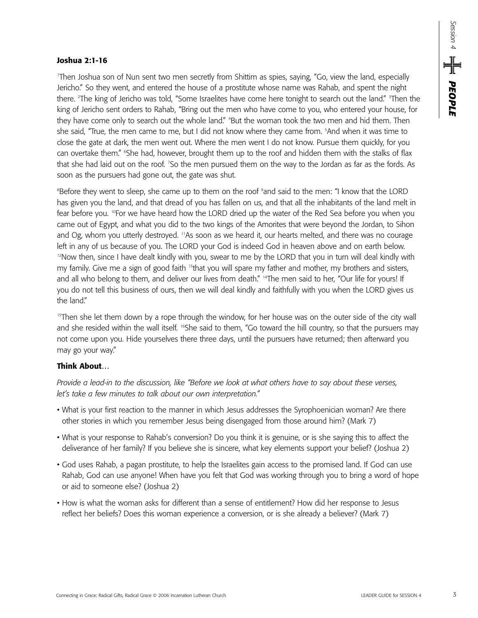#### **Joshua 2:1-16**

1 Then Joshua son of Nun sent two men secretly from Shittim as spies, saying, "Go, view the land, especially Jericho." So they went, and entered the house of a prostitute whose name was Rahab, and spent the night there. <sup>2</sup>The king of Jericho was told, "Some Israelites have come here tonight to search out the land." <sup>3</sup>Then the king of Jericho sent orders to Rahab, "Bring out the men who have come to you, who entered your house, for they have come only to search out the whole land." 4 But the woman took the two men and hid them. Then she said, "True, the men came to me, but I did not know where they came from. <sup>5</sup>And when it was time to close the gate at dark, the men went out. Where the men went I do not know. Pursue them quickly, for you can overtake them." 6 She had, however, brought them up to the roof and hidden them with the stalks of flax that she had laid out on the roof. 7 So the men pursued them on the way to the Jordan as far as the fords. As soon as the pursuers had gone out, the gate was shut.

Before they went to sleep, she came up to them on the roof <sup>9</sup>and said to the men: "I know that the LORD has given you the land, and that dread of you has fallen on us, and that all the inhabitants of the land melt in fear before you. <sup>10</sup>For we have heard how the LORD dried up the water of the Red Sea before you when you came out of Egypt, and what you did to the two kings of the Amorites that were beyond the Jordan, to Sihon and Og, whom you utterly destroyed. <sup>11</sup>As soon as we heard it, our hearts melted, and there was no courage left in any of us because of you. The LORD your God is indeed God in heaven above and on earth below. <sup>12</sup>Now then, since I have dealt kindly with you, swear to me by the LORD that you in turn will deal kindly with my family. Give me a sign of good faith 13that you will spare my father and mother, my brothers and sisters, and all who belong to them, and deliver our lives from death." <sup>14</sup>The men said to her, "Our life for yours! If you do not tell this business of ours, then we will deal kindly and faithfully with you when the LORD gives us the land."

<sup>15</sup>Then she let them down by a rope through the window, for her house was on the outer side of the city wall and she resided within the wall itself. <sup>16</sup>She said to them, "Go toward the hill country, so that the pursuers may not come upon you. Hide yourselves there three days, until the pursuers have returned; then afterward you may go your way."

## **Think About…**

*Provide a lead-in to the discussion, like "Before we look at what others have to say about these verses, let's take a few minutes to talk about our own interpretation."*

- What is your first reaction to the manner in which Jesus addresses the Syrophoenician woman? Are there other stories in which you remember Jesus being disengaged from those around him? (Mark 7)
- What is your response to Rahab's conversion? Do you think it is genuine, or is she saying this to affect the deliverance of her family? If you believe she is sincere, what key elements support your belief? (Joshua 2)
- God uses Rahab, a pagan prostitute, to help the Israelites gain access to the promised land. If God can use Rahab, God can use anyone! When have you felt that God was working through you to bring a word of hope or aid to someone else? (Joshua 2)
- How is what the woman asks for different than a sense of entitlement? How did her response to Jesus reflect her beliefs? Does this woman experience a conversion, or is she already a believer? (Mark 7)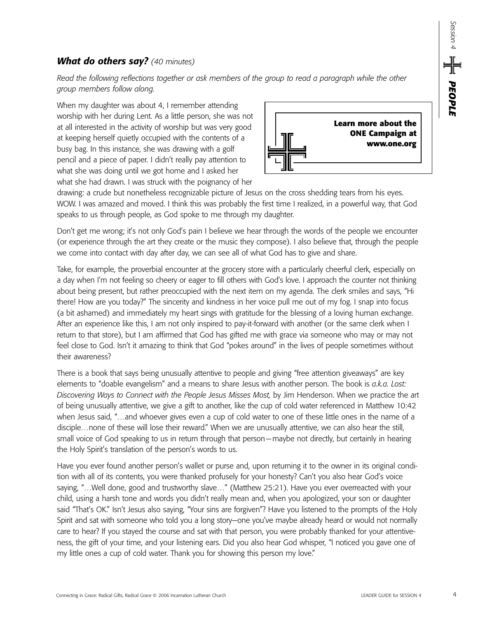## *What do others say? (40 minutes)*

*Read the following reflections together or ask members of the group to read a paragraph while the other group members follow along.*

When my daughter was about 4, I remember attending worship with her during Lent. As a little person, she was not at all interested in the activity of worship but was very good at keeping herself quietly occupied with the contents of a busy bag. In this instance, she was drawing with a golf pencil and a piece of paper. I didn't really pay attention to what she was doing until we got home and I asked her what she had drawn. I was struck with the poignancy of her



drawing: a crude but nonetheless recognizable picture of Jesus on the cross shedding tears from his eyes. WOW. I was amazed and moved. I think this was probably the first time I realized, in a powerful way, that God speaks to us through people, as God spoke to me through my daughter.

Don't get me wrong; it's not only God's pain I believe we hear through the words of the people we encounter (or experience through the art they create or the music they compose). I also believe that, through the people we come into contact with day after day, we can see all of what God has to give and share.

Take, for example, the proverbial encounter at the grocery store with a particularly cheerful clerk, especially on a day when I'm not feeling so cheery or eager to fill others with God's love. I approach the counter not thinking about being present, but rather preoccupied with the next item on my agenda. The clerk smiles and says, "Hi there! How are you today?" The sincerity and kindness in her voice pull me out of my fog. I snap into focus (a bit ashamed) and immediately my heart sings with gratitude for the blessing of a loving human exchange. After an experience like this, I am not only inspired to pay-it-forward with another (or the same clerk when I return to that store), but I am affirmed that God has gifted me with grace via someone who may or may not feel close to God. Isn't it amazing to think that God "pokes around" in the lives of people sometimes without their awareness?

There is a book that says being unusually attentive to people and giving "free attention giveaways" are key elements to "doable evangelism" and a means to share Jesus with another person. The book is *a.k.a. Lost: Discovering Ways to Connect with the People Jesus Misses Most,* by Jim Henderson. When we practice the art of being unusually attentive, we give a gift to another, like the cup of cold water referenced in Matthew 10:42 when Jesus said, "…and whoever gives even a cup of cold water to one of these little ones in the name of a disciple…none of these will lose their reward." When we are unusually attentive, we can also hear the still, small voice of God speaking to us in return through that person—maybe not directly, but certainly in hearing the Holy Spirit's translation of the person's words to us.

Have you ever found another person's wallet or purse and, upon returning it to the owner in its original condition with all of its contents, you were thanked profusely for your honesty? Can't you also hear God's voice saying, "…Well done, good and trustworthy slave…" (Matthew 25:21). Have you ever overreacted with your child, using a harsh tone and words you didn't really mean and, when you apologized, your son or daughter said "That's OK." Isn't Jesus also saying, "Your sins are forgiven"? Have you listened to the prompts of the Holy Spirit and sat with someone who told you a long story—one you've maybe already heard or would not normally care to hear? If you stayed the course and sat with that person, you were probably thanked for your attentiveness, the gift of your time, and your listening ears. Did you also hear God whisper, "I noticed you gave one of my little ones a cup of cold water. Thank you for showing this person my love."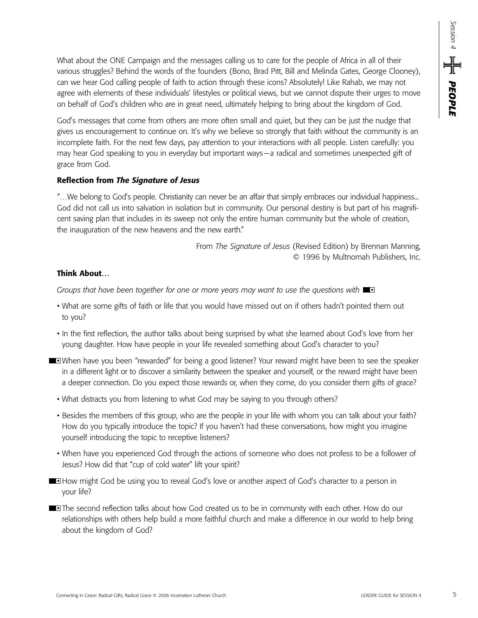What about the ONE Campaign and the messages calling us to care for the people of Africa in all of their various struggles? Behind the words of the founders (Bono, Brad Pitt, Bill and Melinda Gates, George Clooney), can we hear God calling people of faith to action through these icons? Absolutely! Like Rahab, we may not agree with elements of these individuals' lifestyles or political views, but we cannot dispute their urges to move on behalf of God's children who are in great need, ultimately helping to bring about the kingdom of God.

God's messages that come from others are more often small and quiet, but they can be just the nudge that gives us encouragement to continue on. It's why we believe so strongly that faith without the community is an incomplete faith. For the next few days, pay attention to your interactions with all people. Listen carefully: you may hear God speaking to you in everyday but important ways—a radical and sometimes unexpected gift of grace from God.

#### **Reflection from** *The Signature of Jesus*

"…We belong to God's people. Christianity can never be an affair that simply embraces our individual happiness... God did not call us into salvation in isolation but in community. Our personal destiny is but part of his magnificent saving plan that includes in its sweep not only the entire human community but the whole of creation, the inauguration of the new heavens and the new earth."

> From *The Signature of Jesus* (Revised Edition) by Brennan Manning, © 1996 by Multnomah Publishers, Inc.

## **Think About…**

*Groups that have been together for one or more years may want to use the questions with* •

- What are some gifts of faith or life that you would have missed out on if others hadn't pointed them out to you?
- In the first reflection, the author talks about being surprised by what she learned about God's love from her young daughter. How have people in your life revealed something about God's character to you?
- **When have you been "rewarded" for being a good listener? Your reward might have been to see the speaker** in a different light or to discover a similarity between the speaker and yourself, or the reward might have been a deeper connection. Do you expect those rewards or, when they come, do you consider them gifts of grace?
	- What distracts you from listening to what God may be saying to you through others?
	- Besides the members of this group, who are the people in your life with whom you can talk about your faith? How do you typically introduce the topic? If you haven't had these conversations, how might you imagine yourself introducing the topic to receptive listeners?
	- When have you experienced God through the actions of someone who does not profess to be a follower of Jesus? How did that "cup of cold water" lift your spirit?
- **How might God be using you to reveal God's love or another aspect of God's character to a person in** your life?
- **The second reflection talks about how God created us to be in community with each other. How do our** relationships with others help build a more faithful church and make a difference in our world to help bring about the kingdom of God?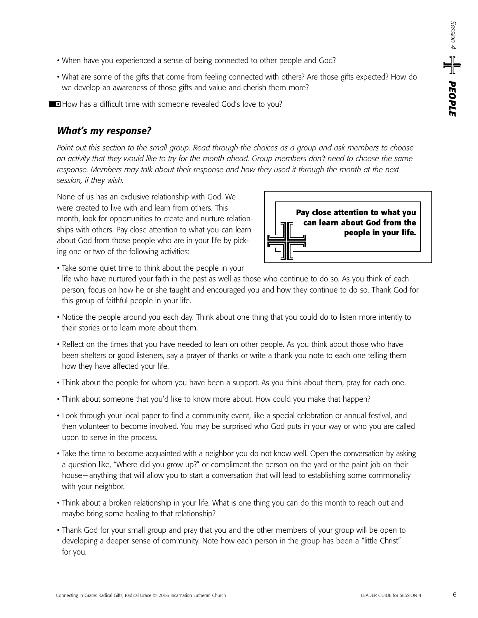- When have you experienced a sense of being connected to other people and God?
- What are some of the gifts that come from feeling connected with others? Are those gifts expected? How do we develop an awareness of those gifts and value and cherish them more?
- **How has a difficult time with someone revealed God's love to you?**

## *What's my response?*

*Point out this section to the small group. Read through the choices as a group and ask members to choose an activity that they would like to try for the month ahead. Group members don't need to choose the same response. Members may talk about their response and how they used it through the month at the next session, if they wish.*

None of us has an exclusive relationship with God. We were created to live with and learn from others. This month, look for opportunities to create and nurture relationships with others. Pay close attention to what you can learn about God from those people who are in your life by picking one or two of the following activities:



• Take some quiet time to think about the people in your

life who have nurtured your faith in the past as well as those who continue to do so. As you think of each person, focus on how he or she taught and encouraged you and how they continue to do so. Thank God for this group of faithful people in your life.

- Notice the people around you each day. Think about one thing that you could do to listen more intently to their stories or to learn more about them.
- Reflect on the times that you have needed to lean on other people. As you think about those who have been shelters or good listeners, say a prayer of thanks or write a thank you note to each one telling them how they have affected your life.
- Think about the people for whom you have been a support. As you think about them, pray for each one.
- Think about someone that you'd like to know more about. How could you make that happen?
- Look through your local paper to find a community event, like a special celebration or annual festival, and then volunteer to become involved. You may be surprised who God puts in your way or who you are called upon to serve in the process.
- Take the time to become acquainted with a neighbor you do not know well. Open the conversation by asking a question like, "Where did you grow up?" or compliment the person on the yard or the paint job on their house—anything that will allow you to start a conversation that will lead to establishing some commonality with your neighbor.
- Think about a broken relationship in your life. What is one thing you can do this month to reach out and maybe bring some healing to that relationship?
- Thank God for your small group and pray that you and the other members of your group will be open to developing a deeper sense of community. Note how each person in the group has been a "little Christ" for you.